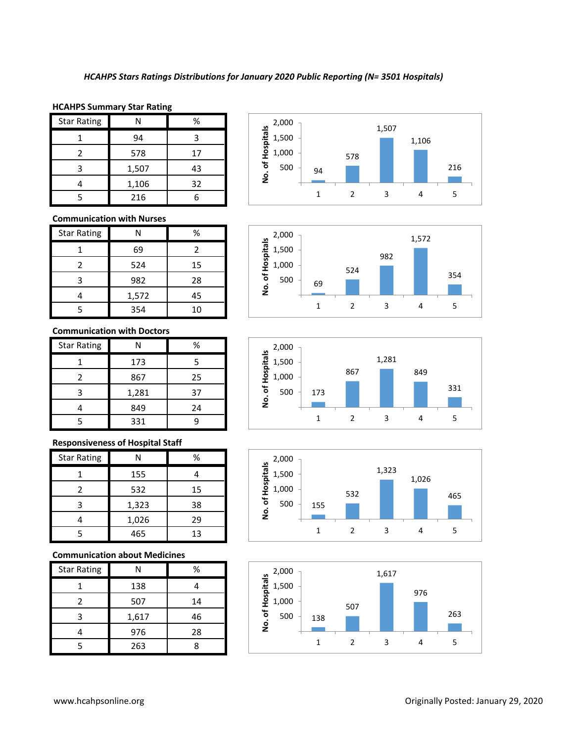### **HCAHPS Summary Star Rating**

| <b>Star Rating</b> |       | %  |
|--------------------|-------|----|
|                    | 94    | ς  |
|                    | 578   | 17 |
| ੨                  | 1,507 | 43 |
|                    | 1,106 | 32 |
|                    | 216   |    |

## **Communication with Nurses**

| <b>Star Rating</b> | Ν     | %  |
|--------------------|-------|----|
|                    | 69    | 2  |
| 2                  | 524   | 15 |
| 3                  | 982   | 28 |
|                    | 1,572 | 45 |
|                    | 354   | 10 |

#### **Communication with Doctors**

| <b>Star Rating</b> |       | ℅  |
|--------------------|-------|----|
|                    | 173   | 5  |
| 2                  | 867   | 25 |
| 3                  | 1,281 | 37 |
|                    | 849   | 24 |
|                    | 331   |    |

# **Responsiveness of Hospital Staff**

| <b>Star Rating</b> | N     | ℅  |
|--------------------|-------|----|
|                    | 155   |    |
| $\mathcal{P}$      | 532   | 15 |
| 3                  | 1,323 | 38 |
|                    | 1,026 | 29 |
|                    | 465   | 13 |

## **Communication about Medicines**

| <b>Star Rating</b> | N     | %  |
|--------------------|-------|----|
|                    | 138   |    |
| 2                  | 507   | 14 |
| 3                  | 1,617 | 46 |
|                    | 976   | 28 |
|                    | 263   |    |









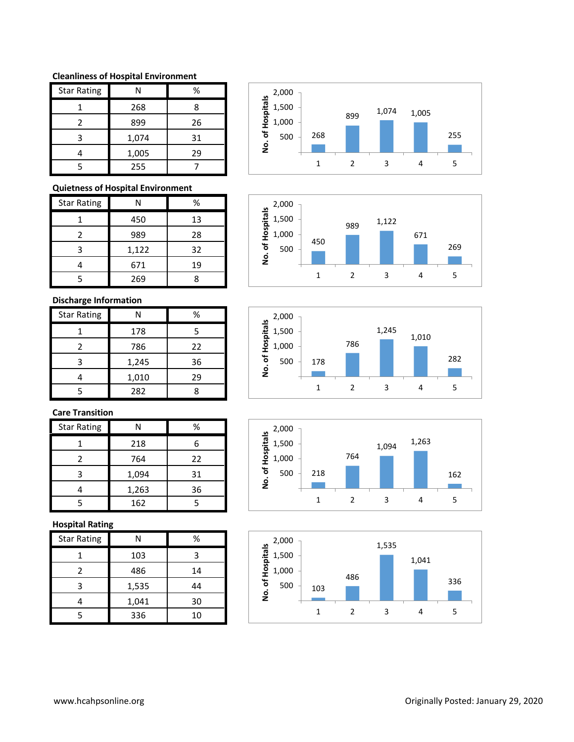#### **Cleanliness of Hospital Environment**

| <b>Star Rating</b> | N     | %  |
|--------------------|-------|----|
|                    | 268   | 8  |
| 2                  | 899   | 26 |
| 3                  | 1,074 | 31 |
|                    | 1,005 | 29 |
|                    | 255   |    |

## **Quietness of Hospital Environment**

| <b>Star Rating</b> |       | ℅  |
|--------------------|-------|----|
|                    | 450   | 13 |
| 2                  | 989   | 28 |
| 3                  | 1,122 | 32 |
|                    | 671   | 19 |
|                    | 269   |    |

# **Discharge Information**

| <b>Star Rating</b> |       | ℅  |
|--------------------|-------|----|
|                    | 178   | 5  |
| 2                  | 786   | 22 |
| 3                  | 1,245 | 36 |
|                    | 1,010 | 29 |
|                    | 282   |    |

# **Care Transition**

| <b>Star Rating</b> | Ν     | ℅  |
|--------------------|-------|----|
|                    | 218   | հ  |
| 2                  | 764   | 22 |
| ੨                  | 1,094 | 31 |
|                    | 1,263 | 36 |
|                    | 162   |    |

## **Hospital Rating**

| <b>Star Rating</b> | Ν     | %  |
|--------------------|-------|----|
|                    | 103   | 3  |
| 2                  | 486   | 14 |
| 3                  | 1,535 | 44 |
|                    | 1,041 | 30 |
| 5                  | 336   | 10 |